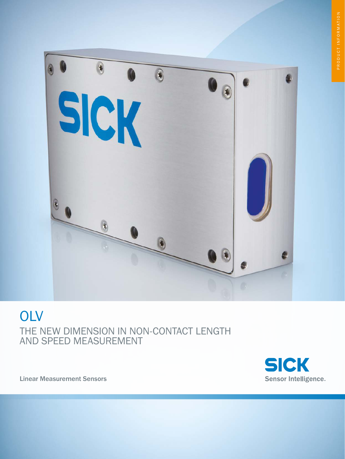

# **OLV** THE NEW DIMENSION IN NON-CONTACT LENGTH AND SPEED MEASUREMENT



Linear Measurement Sensors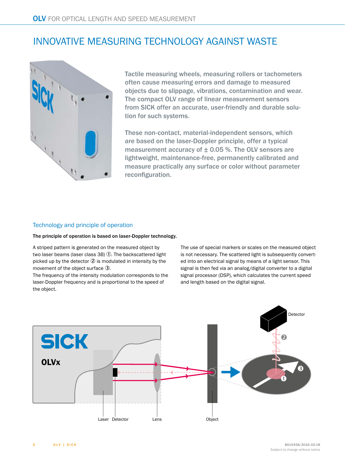# INNOVATIVE MEASURING TECHNOLOGY AGAINST WASTE



Tactile measuring wheels, measuring rollers or tachometers often cause measuring errors and damage to measured objects due to slippage, vibrations, contamination and wear. The compact OLV range of linear measurement sensors from SICK offer an accurate, user-friendly and durable solution for such systems.

These non-contact, material-independent sensors, which are based on the laser-Doppler principle, offer a typical measurement accuracy of  $\pm$  0.05 %. The OLV sensors are lightweight, maintenance-free, permanently calibrated and measure practically any surface or color without parameter reconfiguration.

#### Technology and principle of operation

#### The principle of operation is based on laser-Doppler technology.

A striped pattern is generated on the measured object by two laser beams (laser class  $3B$ )  $\overline{0}$ . The backscattered light picked up by the detector  $Q$  is modulated in intensity by the movement of the object surface 3.

The frequency of the intensity modulation corresponds to the laser-Doppler frequency and is proportional to the speed of the object.

The use of special markers or scales on the measured object is not necessary. The scattered light is subsequently converted into an electrical signal by means of a light sensor. This signal is then fed via an analog/digital converter to a digital signal processor (DSP), which calculates the current speed and length based on the digital signal.

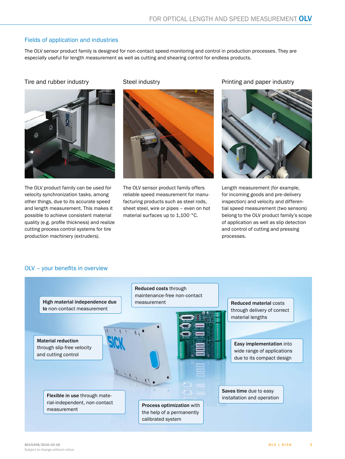### Fields of application and industries

The OLV sensor product family is designed for non-contact speed monitoring and control in production processes. They are especially useful for length measurement as well as cutting and shearing control for endless products.



The OLV product family can be used for velocity synchronization tasks, among other things, due to its accurate speed and length measurement. This makes it possible to achieve consistent material quality (e.g. profile thickness) and realize cutting process control systems for tire production machinery (extruders).



The OLV sensor product family offers reliable speed measurement for manufacturing products such as steel rods, sheet steel, wire or pipes – even on hot material surfaces up to 1,100 °C.

Tire and rubber industry Steel industry Steel industry Printing and paper industry



Length measurement (for example, for incoming goods and pre-delivery inspection) and velocity and differential speed measurement (two sensors) belong to the OLV product family's scope of application as well as slip detection and control of cutting and pressing processes.

#### OLV – your benefits in overview

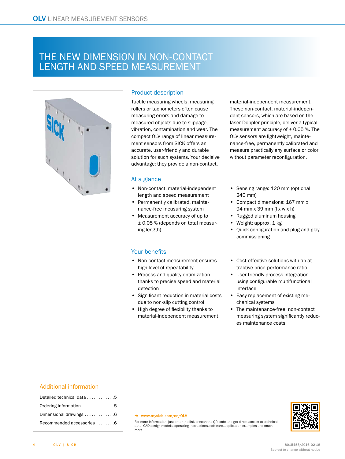### THE NEW DIMENSION IN NON-CONTACT LENGTH AND SPEED MEASUREMENT



### Detailed technical data . . . . . . . . . . . [5](#page-4-0) Ordering information . . . . . . . . . . . . . [5](#page-4-1) Dimensional drawings . . . . . . . . . . . . [6](#page-5-0) Recommended accessories . . . . . . . .[6](#page-5-1)

#### Product description

Tactile measuring wheels, measuring rollers or tachometers often cause measuring errors and damage to measured objects due to slippage, vibration, contamination and wear. The compact OLV range of linear measurement sensors from SICK offers an accurate, user-friendly and durable solution for such systems. Your decisive advantage: they provide a non-contact,

#### At a glance

- Non-contact, material-independent length and speed measurement
- Permanently calibrated, maintenance-free measuring system
- Measurement accuracy of up to ± 0.05 % (depends on total measuring length)

#### Your benefits

- Non-contact measurement ensures high level of repeatability
- Process and quality optimization thanks to precise speed and material detection
- Significant reduction in material costs due to non-slip cutting control
- High degree of flexibility thanks to material-independent measurement

material-independent measurement. These non-contact, material-independent sensors, which are based on the laser-Doppler principle, deliver a typical measurement accuracy of  $\pm$  0.05 %. The OLV sensors are lightweight, maintenance-free, permanently calibrated and measure practically any surface or color without parameter reconfiguration.

- Sensing range: 120 mm (optional 240 mm)
- Compact dimensions: 167 mm x 94 mm x 39 mm (l x w x h)
- Rugged aluminum housing
- Weight: approx. 1 kg
- Quick configuration and plug and play commissioning
- Cost-effective solutions with an attractive price-performance ratio
- User-friendly process integration using configurable multifunctional interface
- Easy replacement of existing mechanical systems
- The maintenance-free, non-contact measuring system significantly reduces maintenance costs

#### $\rightarrow$  [www.mysick.com/en/OLV](http://www.mysick.com/en/OLV)

For more information, just enter the link or scan the QR code and get direct access to technical data, CAD design models, operating instructions, software, application examples and much more.

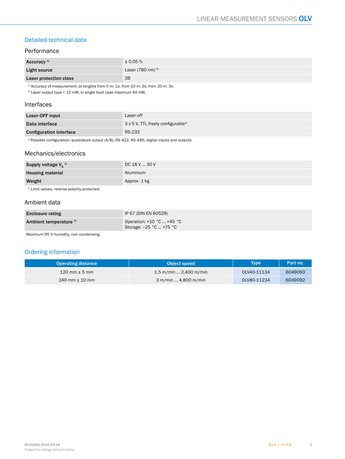### <span id="page-4-0"></span>Detailed technical data

#### Performance

| Accuracy <sup>1)</sup> | $\pm 0.05 \%$         |
|------------------------|-----------------------|
| Light source           | Laser (780 nm) $^{2}$ |
| Laser protection class | 3B                    |

 $1)$  Accuracy of measurement: at lengths from 5 m: 1σ, from 10 m: 2σ, from 20 m: 3σ.

 $2)$  Laser output type < 15 mW, in single fault case maximum 40 mW.

#### Interfaces

| Laser-OFF input                | Laser-off                                             |
|--------------------------------|-------------------------------------------------------|
| Data interface                 | $3 \times 5$ V, TTL freely configurable <sup>1)</sup> |
| <b>Configuration interface</b> | RS-232                                                |

 $1)$  Possible configuration: quadrature output (A/B), RS-422, RS-485, digital inputs and outputs.

#### Mechanics/electronics

| Supply voltage $V_s^{(1)}$ | DC 18 V  30 V |
|----------------------------|---------------|
| <b>Housing material</b>    | Aluminium     |
| Weight                     | Approx. 1 kg  |

<sup>1)</sup> Limit values, reverse polarity protected.

#### Ambient data

| <b>Enclosure rating</b>           | IP 67 (DIN EN 60529)                                    |
|-----------------------------------|---------------------------------------------------------|
| Ambient temperature <sup>1)</sup> | Operation: $+10$ °C $+45$ °C<br>Storage: -25 °C  +75 °C |

Maximum 95 % humidity, non-condensing.

### <span id="page-4-1"></span>Ordering information

| <b>Operating distance</b>         | Object speed                  | <b>Type</b> | Part no. |
|-----------------------------------|-------------------------------|-------------|----------|
| $120 \text{ mm} \pm 5 \text{ mm}$ | 1.5 m/min  2,400 m/min        | OLV40-11134 | 6049093  |
| $240$ mm $\pm$ 10 mm              | $3 \text{ m/min}$ 4,800 m/min | OLV80-11234 | 6049092  |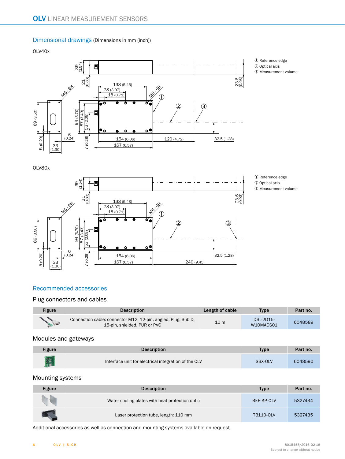#### <span id="page-5-0"></span>Dimensional drawings (Dimensions in mm (inch))

OLV40x



1 Reference edge 2 Optical axis 3 Measurement volume

OLV80x



1 Reference edge 2 Optical axis

#### 3 Measurement volume

#### <span id="page-5-1"></span>Recommended accessories

#### Plug connectors and cables

| <b>Figure</b>                  | <b>Description</b>                                                                            | Length of cable | <b>Type</b>                   | Part no. |
|--------------------------------|-----------------------------------------------------------------------------------------------|-----------------|-------------------------------|----------|
| <b>Contraction Contraction</b> | Connection cable: connector M12, 12-pin, angled; Plug: Sub D,<br>15-pin, shielded. PUR or PVC | 10 <sub>m</sub> | <b>DSL-2D15-</b><br>W10MACS01 | 6048589  |

#### Modules and gateways

| <b>Figure</b> | <b>Description</b>                                   | <b>Type</b> | Part no. |
|---------------|------------------------------------------------------|-------------|----------|
| 開             | Interface unit for electrical integration of the OLV | SBX-OLV     | 6048590  |

#### Mounting systems

| <b>Figure</b> | <b>Description</b>                              | <b>Type</b>      | Part no. |
|---------------|-------------------------------------------------|------------------|----------|
|               | Water cooling plates with heat protection optic | BEF-KP-OLV       | 5327434  |
|               | Laser protection tube, length: 110 mm           | <b>TB110-OLV</b> | 5327435  |

Additional accessories as well as connection and mounting systems available on request.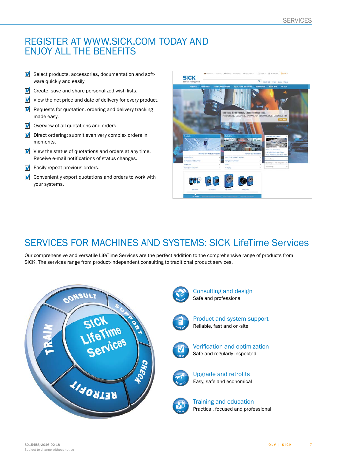### REGISTER AT WWW.SICK.COM TODAY AND ENJOY ALL THE BENEFITS

- $\blacksquare$  Select products, accessories, documentation and software quickly and easily.
- $\blacksquare$  Create, save and share personalized wish lists.
- $\blacksquare$  View the net price and date of delivery for every product.
- $\blacksquare$  Requests for quotation, ordering and delivery tracking made easy.
- $\blacksquare$  Overview of all quotations and orders.
- $\blacksquare$  Direct ordering: submit even very complex orders in moments.
- $\blacksquare$  View the status of quotations and orders at any time. Receive e-mail notifications of status changes.
- $\blacksquare$  Easily repeat previous orders.
- $\blacksquare$  Conveniently export quotations and orders to work with your systems.



# SERVICES FOR MACHINES AND SYSTEMS: SICK LifeTime Services

Our comprehensive and versatile LifeTime Services are the perfect addition to the comprehensive range of products from SICK. The services range from product-independent consulting to traditional product services.